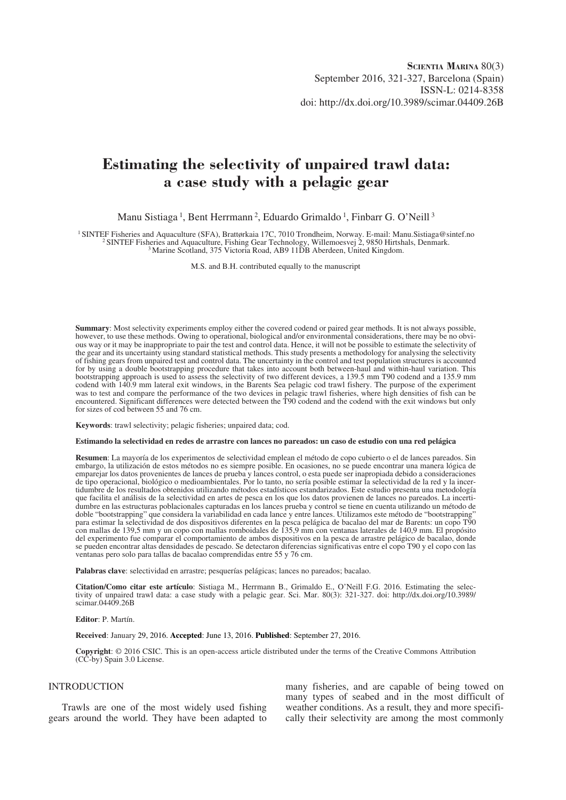# **Estimating the selectivity of unpaired trawl data: a case study with a pelagic gear**

Manu Sistiaga<sup>1</sup>, Bent Herrmann<sup>2</sup>, Eduardo Grimaldo<sup>1</sup>, Finbarr G. O'Neill<sup>3</sup>

<sup>1</sup> SINTEF Fisheries and Aquaculture (SFA), Brattørkaia 17C, 7010 Trondheim, Norway. E-mail: Manu.Sistiaga@sintef.no<br><sup>2</sup> SINTEF Fisheries and Aquaculture, Fishing Gear Technology, Willemoesvej 2, 9850 Hirtshals, Denmark.<br>

M.S. and B.H. contributed equally to the manuscript

**Summary**: Most selectivity experiments employ either the covered codend or paired gear methods. It is not always possible, however, to use these methods. Owing to operational, biological and/or environmental considerations, there may be no obvious way or it may be inappropriate to pair the test and control data. Hence, it will not be possible to estimate the selectivity of the gear and its uncertainty using standard statistical methods. This study presents a methodology for analysing the selectivity of fishing gears from unpaired test and control data. The uncertainty in the control and test population structures is accounted for by using a double bootstrapping procedure that takes into account both between-haul and within-haul variation. This bootstrapping approach is used to assess the selectivity of two different devices, a 139.5 mm T90 codend and a 135.9 mm codend with 140.9 mm lateral exit windows, in the Barents Sea pelagic cod trawl fishery. The purpose of the experiment was to test and compare the performance of the two devices in pelagic trawl fisheries, where high densities of fish can be encountered. Significant differences were detected between the T90 codend and the codend with the exit windows but only for sizes of cod between 55 and 76 cm.

**Keywords**: trawl selectivity; pelagic fisheries; unpaired data; cod.

#### **Estimando la selectividad en redes de arrastre con lances no pareados: un caso de estudio con una red pelágica**

**Resumen**: La mayoría de los experimentos de selectividad emplean el método de copo cubierto o el de lances pareados. Sin embargo, la utilización de estos métodos no es siempre posible. En ocasiones, no se puede encontrar una manera lógica de emparejar los datos provenientes de lances de prueba y lances control, o esta puede ser inapropiada debido a consideraciones de tipo operacional, biológico o medioambientales. Por lo tanto, no sería posible estimar la selectividad de la red y la incertidumbre de los resultados obtenidos utilizando métodos estadísticos estandarizados. Este estudio presenta una metodología que facilita el análisis de la selectividad en artes de pesca en los que los datos provienen de lances no pareados. La incertidumbre en las estructuras poblacionales capturadas en los lances prueba y control se tiene en cuenta utilizando un método de doble "bootstrapping" que considera la variabilidad en cada lance y entre lances. Utilizamos este método de "bootstrapping" para estimar la selectividad de dos dispositivos diferentes en la pesca pelágica de bacalao del mar de Barents: un copo T90 con mallas de 139,5 mm y un copo con mallas romboidales de 135,9 mm con ventanas laterales de 140,9 mm. El propósito del experimento fue comparar el comportamiento de ambos dispositivos en la pesca de arrastre pelágico de bacalao, donde se pueden encontrar altas densidades de pescado. Se detectaron diferencias significativas entre el copo T90 y el copo con las ventanas pero solo para tallas de bacalao comprendidas entre 55 y 76 cm.

**Palabras clave**: selectividad en arrastre; pesquerías pelágicas; lances no pareados; bacalao.

**Citation/Como citar este artículo**: Sistiaga M., Herrmann B., Grimaldo E., O'Neill F.G. 2016. Estimating the selectivity of unpaired trawl data: a case study with a pelagic gear. Sci. Mar. 80(3): 321-327. doi: http://dx.doi.org/10.3989/ scimar.04409.26B

**Editor**: P. Martín.

**Received**: January 29, 2016. **Accepted**: June 13, 2016. **Published**: September 27, 2016.

**Copyright**: © 2016 CSIC. This is an open-access article distributed under the terms of the Creative Commons Attribution (CC-by) Spain 3.0 License.

# INTRODUCTION

Trawls are one of the most widely used fishing gears around the world. They have been adapted to many fisheries, and are capable of being towed on many types of seabed and in the most difficult of weather conditions. As a result, they and more specifically their selectivity are among the most commonly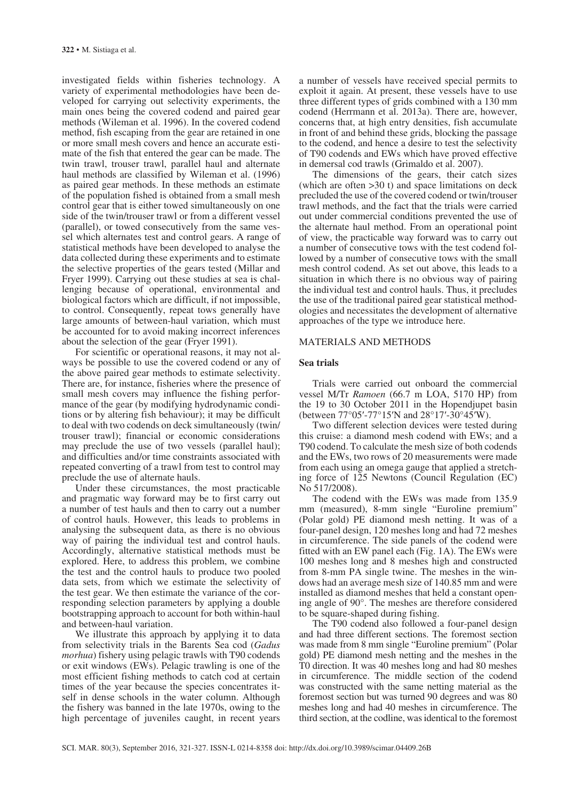investigated fields within fisheries technology. A variety of experimental methodologies have been developed for carrying out selectivity experiments, the main ones being the covered codend and paired gear methods (Wileman et al. 1996). In the covered codend method, fish escaping from the gear are retained in one or more small mesh covers and hence an accurate estimate of the fish that entered the gear can be made. The twin trawl, trouser trawl, parallel haul and alternate haul methods are classified by Wileman et al. (1996) as paired gear methods. In these methods an estimate of the population fished is obtained from a small mesh control gear that is either towed simultaneously on one side of the twin/trouser trawl or from a different vessel (parallel), or towed consecutively from the same vessel which alternates test and control gears. A range of statistical methods have been developed to analyse the data collected during these experiments and to estimate the selective properties of the gears tested (Millar and Fryer 1999). Carrying out these studies at sea is challenging because of operational, environmental and biological factors which are difficult, if not impossible, to control. Consequently, repeat tows generally have large amounts of between-haul variation, which must be accounted for to avoid making incorrect inferences about the selection of the gear (Fryer 1991).

For scientific or operational reasons, it may not always be possible to use the covered codend or any of the above paired gear methods to estimate selectivity. There are, for instance, fisheries where the presence of small mesh covers may influence the fishing performance of the gear (by modifying hydrodynamic conditions or by altering fish behaviour); it may be difficult to deal with two codends on deck simultaneously (twin/ trouser trawl); financial or economic considerations may preclude the use of two vessels (parallel haul); and difficulties and/or time constraints associated with repeated converting of a trawl from test to control may preclude the use of alternate hauls.

Under these circumstances, the most practicable and pragmatic way forward may be to first carry out a number of test hauls and then to carry out a number of control hauls. However, this leads to problems in analysing the subsequent data, as there is no obvious way of pairing the individual test and control hauls. Accordingly, alternative statistical methods must be explored. Here, to address this problem, we combine the test and the control hauls to produce two pooled data sets, from which we estimate the selectivity of the test gear. We then estimate the variance of the corresponding selection parameters by applying a double bootstrapping approach to account for both within-haul and between-haul variation.

We illustrate this approach by applying it to data from selectivity trials in the Barents Sea cod (*Gadus morhua*) fishery using pelagic trawls with T90 codends or exit windows (EWs). Pelagic trawling is one of the most efficient fishing methods to catch cod at certain times of the year because the species concentrates itself in dense schools in the water column. Although the fishery was banned in the late 1970s, owing to the high percentage of juveniles caught, in recent years

a number of vessels have received special permits to exploit it again. At present, these vessels have to use three different types of grids combined with a 130 mm codend (Herrmann et al. 2013a). There are, however, concerns that, at high entry densities, fish accumulate in front of and behind these grids, blocking the passage to the codend, and hence a desire to test the selectivity of T90 codends and EWs which have proved effective in demersal cod trawls (Grimaldo et al. 2007).

The dimensions of the gears, their catch sizes (which are often >30 t) and space limitations on deck precluded the use of the covered codend or twin/trouser trawl methods, and the fact that the trials were carried out under commercial conditions prevented the use of the alternate haul method. From an operational point of view, the practicable way forward was to carry out a number of consecutive tows with the test codend followed by a number of consecutive tows with the small mesh control codend. As set out above, this leads to a situation in which there is no obvious way of pairing the individual test and control hauls. Thus, it precludes the use of the traditional paired gear statistical methodologies and necessitates the development of alternative approaches of the type we introduce here.

# MATERIALS AND METHODS

#### **Sea trials**

Trials were carried out onboard the commercial vessel M/Tr *Ramoen* (66.7 m LOA, 5170 HP) from the 19 to 30 October 2011 in the Hopendjupet basin (between 77°05′-77°15′N and 28°17′-30°45′W).

Two different selection devices were tested during this cruise: a diamond mesh codend with EWs; and a T90 codend. To calculate the mesh size of both codends and the EWs, two rows of 20 measurements were made from each using an omega gauge that applied a stretching force of 125 Newtons (Council Regulation (EC) No 517/2008).

The codend with the EWs was made from 135.9 mm (measured), 8-mm single "Euroline premium" (Polar gold) PE diamond mesh netting. It was of a four-panel design, 120 meshes long and had 72 meshes in circumference. The side panels of the codend were fitted with an EW panel each (Fig. 1A). The EWs were 100 meshes long and 8 meshes high and constructed from 8-mm PA single twine. The meshes in the windows had an average mesh size of 140.85 mm and were installed as diamond meshes that held a constant opening angle of 90°. The meshes are therefore considered to be square-shaped during fishing.

The T90 codend also followed a four-panel design and had three different sections. The foremost section was made from 8 mm single "Euroline premium" (Polar gold) PE diamond mesh netting and the meshes in the T0 direction. It was 40 meshes long and had 80 meshes in circumference. The middle section of the codend was constructed with the same netting material as the foremost section but was turned 90 degrees and was 80 meshes long and had 40 meshes in circumference. The third section, at the codline, was identical to the foremost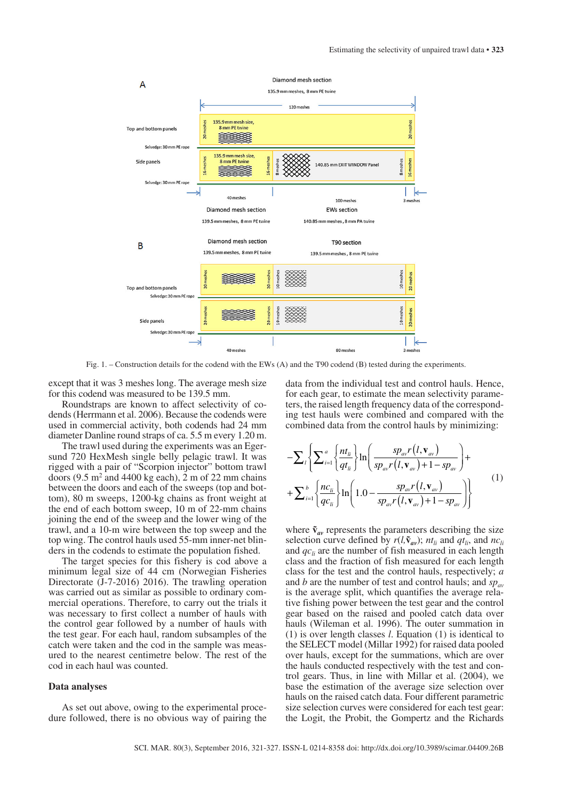

Fig. 1. – Construction details for the codend with the EWs (A) and the T90 codend (B) tested during the experiments.

except that it was 3 meshes long. The average mesh size for this codend was measured to be 139.5 mm.

Roundstraps are known to affect selectivity of codends (Herrmann et al. 2006). Because the codends were used in commercial activity, both codends had 24 mm diameter Danline round straps of ca. 5.5 m every 1.20 m.

The trawl used during the experiments was an Egersund 720 HexMesh single belly pelagic trawl. It was rigged with a pair of "Scorpion injector" bottom trawl doors  $(9.5 \text{ m}^2 \text{ and } 4400 \text{ kg each})$ , 2 m of 22 mm chains between the doors and each of the sweeps (top and bottom), 80 m sweeps, 1200-kg chains as front weight at the end of each bottom sweep, 10 m of 22-mm chains joining the end of the sweep and the lower wing of the trawl, and a 10-m wire between the top sweep and the top wing. The control hauls used 55-mm inner-net blinders in the codends to estimate the population fished.

The target species for this fishery is cod above a minimum legal size of 44 cm (Norwegian Fisheries Directorate (J-7-2016) 2016). The trawling operation was carried out as similar as possible to ordinary commercial operations. Therefore, to carry out the trials it was necessary to first collect a number of hauls with the control gear followed by a number of hauls with the test gear. For each haul, random subsamples of the catch were taken and the cod in the sample was measured to the nearest centimetre below. The rest of the cod in each haul was counted.

### **Data analyses**

As set out above, owing to the experimental procedure followed, there is no obvious way of pairing the

data from the individual test and control hauls. Hence, for each gear, to estimate the mean selectivity parameters, the raised length frequency data of the corresponding test hauls were combined and compared with the combined data from the control hauls by minimizing:

$$
-\sum_{l}\left\{\sum_{i=1}^{a}\left\{\frac{nt_{li}}{qt_{li}}\right\}\ln\left(\frac{sp_{av}r\left(l,\mathbf{v}_{av}\right)}{sp_{av}r\left(l,\mathbf{v}_{av}\right)+1-sp_{av}}\right)+\right.
$$

$$
+\sum_{i=1}^{b}\left\{\frac{nc_{li}}{qc_{li}}\right\}\ln\left(1.0-\frac{sp_{av}r\left(l,\mathbf{v}_{av}\right)}{sp_{av}r\left(l,\mathbf{v}_{av}\right)+1-sp_{av}}\right)\right\}\tag{1}
$$

where  $\tilde{v}_{av}$  represents the parameters describing the size selection curve defined by  $r(l, \tilde{v}_{av})$ ;  $nt_{li}$  and  $qt_{li}$ , and  $nc_{li}$ and  $qc_{li}$  are the number of fish measured in each length class and the fraction of fish measured for each length class for the test and the control hauls, respectively; *a* and *b* are the number of test and control hauls; and  $sp_{av}$ is the average split, which quantifies the average relative fishing power between the test gear and the control gear based on the raised and pooled catch data over hauls (Wileman et al. 1996). The outer summation in (1) is over length classes *l*. Equation (1) is identical to the SELECT model (Millar 1992) for raised data pooled over hauls, except for the summations, which are over the hauls conducted respectively with the test and control gears. Thus, in line with Millar et al. (2004), we base the estimation of the average size selection over hauls on the raised catch data. Four different parametric size selection curves were considered for each test gear: the Logit, the Probit, the Gompertz and the Richards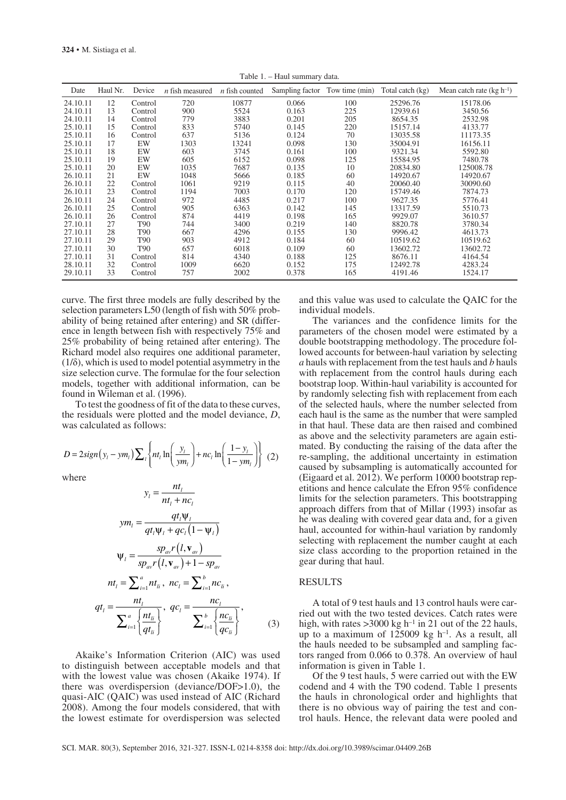Table 1. – Haul summary data.

| Date     | Haul Nr. | Device          | $n$ fish measured | $n$ fish counted | Sampling factor Tow time (min) |     | Total catch (kg) | Mean catch rate $(kg h^{-1})$ |
|----------|----------|-----------------|-------------------|------------------|--------------------------------|-----|------------------|-------------------------------|
| 24.10.11 | 12       | Control         | 720               | 10877            | 0.066                          | 100 | 25296.76         | 15178.06                      |
| 24.10.11 | 13       | Control         | 900               | 5524             | 0.163                          | 225 | 12939.61         | 3450.56                       |
| 24.10.11 | 14       | Control         | 779               | 3883             | 0.201                          | 205 | 8654.35          | 2532.98                       |
| 25.10.11 | 15       | Control         | 833               | 5740             | 0.145                          | 220 | 15157.14         | 4133.77                       |
| 25.10.11 | 16       | Control         | 637               | 5136             | 0.124                          | 70  | 13035.58         | 11173.35                      |
| 25.10.11 | 17       | EW              | 1303              | 13241            | 0.098                          | 130 | 35004.91         | 16156.11                      |
| 25.10.11 | 18       | EW              | 603               | 3745             | 0.161                          | 100 | 9321.34          | 5592.80                       |
| 25.10.11 | 19       | EW              | 605               | 6152             | 0.098                          | 125 | 15584.95         | 7480.78                       |
| 25.10.11 | 20       | EW              | 1035              | 7687             | 0.135                          | 10  | 20834.80         | 125008.78                     |
| 26.10.11 | 21       | EW              | 1048              | 5666             | 0.185                          | 60  | 14920.67         | 14920.67                      |
| 26.10.11 | 22       | Control         | 1061              | 9219             | 0.115                          | 40  | 20060.40         | 30090.60                      |
| 26.10.11 | 23       | Control         | 1194              | 7003             | 0.170                          | 120 | 15749.46         | 7874.73                       |
| 26.10.11 | 24       | Control         | 972               | 4485             | 0.217                          | 100 | 9627.35          | 5776.41                       |
| 26.10.11 | 25       | Control         | 905               | 6363             | 0.142                          | 145 | 13317.59         | 5510.73                       |
| 26.10.11 | 26       | Control         | 874               | 4419             | 0.198                          | 165 | 9929.07          | 3610.57                       |
| 27.10.11 | 27       | T90             | 744               | 3400             | 0.219                          | 140 | 8820.78          | 3780.34                       |
| 27.10.11 | 28       | T90             | 667               | 4296             | 0.155                          | 130 | 9996.42          | 4613.73                       |
| 27.10.11 | 29       | T <sub>90</sub> | 903               | 4912             | 0.184                          | 60  | 10519.62         | 10519.62                      |
| 27.10.11 | 30       | T90             | 657               | 6018             | 0.109                          | 60  | 13602.72         | 13602.72                      |
| 27.10.11 | 31       | Control         | 814               | 4340             | 0.188                          | 125 | 8676.11          | 4164.54                       |
| 28.10.11 | 32       | Control         | 1009              | 6620             | 0.152                          | 175 | 12492.78         | 4283.24                       |
| 29.10.11 | 33       | Control         | 757               | 2002             | 0.378                          | 165 | 4191.46          | 1524.17                       |

curve. The first three models are fully described by the selection parameters L50 (length of fish with 50% probability of being retained after entering) and SR (difference in length between fish with respectively 75% and 25% probability of being retained after entering). The Richard model also requires one additional parameter,  $(1/\delta)$ , which is used to model potential asymmetry in the size selection curve. The formulae for the four selection models, together with additional information, can be found in Wileman et al. (1996).

To test the goodness of fit of the data to these curves, the residuals were plotted and the model deviance, *D*, was calculated as follows:

$$
D = 2sign(y_i - ym_i) \sum_{l} \left\{ nt_l \ln \left( \frac{y_l}{ym_l} \right) + nc_l \ln \left( \frac{1 - y_l}{1 - ym_l} \right) \right\} (2)
$$

where

$$
y_{l} = \frac{nt_{l}}{nt_{l} + nc_{l}}
$$
  
\n
$$
ym_{l} = \frac{qt_{l}\Psi_{l}}{qt_{l}\Psi_{l} + qc_{l}(1 - \Psi_{l})}
$$
  
\n
$$
\Psi_{l} = \frac{sp_{av}r(l, \mathbf{v}_{av})}{sp_{av}r(l, \mathbf{v}_{av}) + 1 - sp_{av}}
$$
  
\n
$$
nt_{l} = \sum_{i=1}^{a} nt_{li}, \ nc_{l} = \sum_{i=1}^{b} nc_{li},
$$
  
\n
$$
qt_{l} = \frac{nt_{l}}{\sum_{i=1}^{a} \left(\frac{nt_{li}}{qt_{li}}\right)}, \ qc_{l} = \frac{nc_{l}}{\sum_{i=1}^{b} \left(\frac{nc_{li}}{qc_{li}}\right)},
$$
\n(3)

Akaike's Information Criterion (AIC) was used to distinguish between acceptable models and that with the lowest value was chosen (Akaike 1974). If there was overdispersion (deviance/DOF>1.0), the quasi-AIC (QAIC) was used instead of AIC (Richard 2008). Among the four models considered, that with the lowest estimate for overdispersion was selected

and this value was used to calculate the QAIC for the individual models.

The variances and the confidence limits for the parameters of the chosen model were estimated by a double bootstrapping methodology. The procedure followed accounts for between-haul variation by selecting *a* hauls with replacement from the test hauls and *b* hauls with replacement from the control hauls during each bootstrap loop. Within-haul variability is accounted for by randomly selecting fish with replacement from each of the selected hauls, where the number selected from each haul is the same as the number that were sampled in that haul. These data are then raised and combined as above and the selectivity parameters are again estimated. By conducting the raising of the data after the re-sampling, the additional uncertainty in estimation caused by subsampling is automatically accounted for (Eigaard et al. 2012). We perform 10000 bootstrap repetitions and hence calculate the Efron 95% confidence limits for the selection parameters. This bootstrapping approach differs from that of Millar (1993) insofar as he was dealing with covered gear data and, for a given haul, accounted for within-haul variation by randomly selecting with replacement the number caught at each size class according to the proportion retained in the gear during that haul.

# RESULTS

A total of 9 test hauls and 13 control hauls were carried out with the two tested devices. Catch rates were high, with rates  $>3000$  kg h<sup>-1</sup> in 21 out of the 22 hauls, up to a maximum of  $125009 \text{ kg h}^{-1}$ . As a result, all the hauls needed to be subsampled and sampling factors ranged from 0.066 to 0.378. An overview of haul information is given in Table 1.

Of the 9 test hauls, 5 were carried out with the EW codend and 4 with the T90 codend. Table 1 presents the hauls in chronological order and highlights that there is no obvious way of pairing the test and control hauls. Hence, the relevant data were pooled and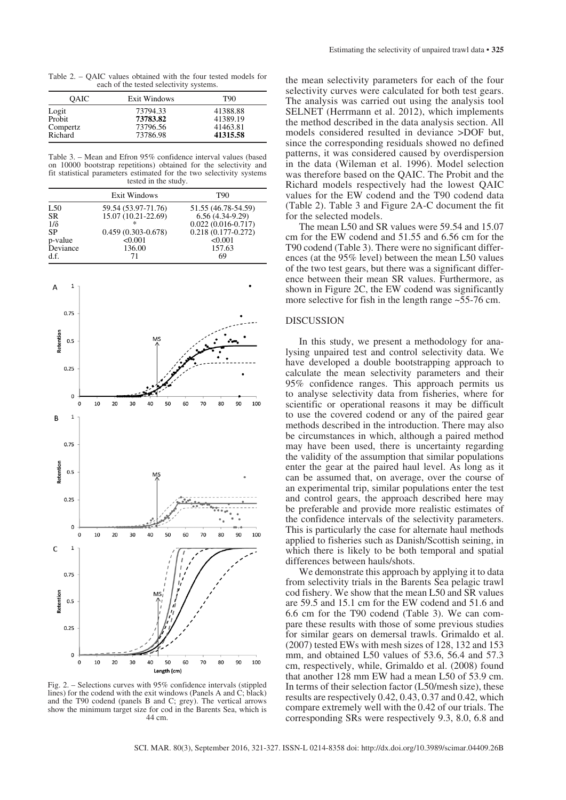Table 2. – QAIC values obtained with the four tested models for each of the tested selectivity systems.

| Exit Windows                     | T90                                          |
|----------------------------------|----------------------------------------------|
| 73794.33<br>73783.82<br>73796.56 | 41388.88<br>41389.19<br>41463.81<br>41315.58 |
|                                  | 73786.98                                     |

Table 3. – Mean and Efron 95% confidence interval values (based on 10000 bootstrap repetitions) obtained for the selectivity and fit statistical parameters estimated for the two selectivity systems tested in the study.

|            | <b>Exit Windows</b>    | T90                    |
|------------|------------------------|------------------------|
| L50        | 59.54 (53.97-71.76)    | 51.55 (46.78-54.59)    |
| <b>SR</b>  | 15.07 (10.21-22.69)    | $6.56(4.34-9.29)$      |
| $1/\delta$ |                        | $0.022(0.016-0.717)$   |
| <b>SP</b>  | $0.459(0.303 - 0.678)$ | $0.218(0.177 - 0.272)$ |
| p-value    | < 0.001                | < 0.001                |
| Deviance   | 136.00                 | 157.63                 |
| d.f.       | 71                     | 69                     |



Fig. 2. – Selections curves with 95% confidence intervals (stippled lines) for the codend with the exit windows (Panels A and C; black) and the T90 codend (panels B and C; grey). The vertical arrows show the minimum target size for cod in the Barents Sea, which is 44 cm.

the mean selectivity parameters for each of the four selectivity curves were calculated for both test gears. The analysis was carried out using the analysis tool SELNET (Herrmann et al. 2012), which implements the method described in the data analysis section. All models considered resulted in deviance >DOF but, since the corresponding residuals showed no defined patterns, it was considered caused by overdispersion in the data (Wileman et al. 1996). Model selection was therefore based on the QAIC. The Probit and the Richard models respectively had the lowest QAIC values for the EW codend and the T90 codend data (Table 2). Table 3 and Figure 2A-C document the fit for the selected models.

The mean L50 and SR values were 59.54 and 15.07 cm for the EW codend and 51.55 and 6.56 cm for the T90 codend (Table 3). There were no significant differences (at the 95% level) between the mean L50 values of the two test gears, but there was a significant difference between their mean SR values. Furthermore, as shown in Figure 2C, the EW codend was significantly more selective for fish in the length range  $\sim 55-76$  cm.

#### DISCUSSION

In this study, we present a methodology for analysing unpaired test and control selectivity data. We have developed a double bootstrapping approach to calculate the mean selectivity parameters and their 95% confidence ranges. This approach permits us to analyse selectivity data from fisheries, where for scientific or operational reasons it may be difficult to use the covered codend or any of the paired gear methods described in the introduction. There may also be circumstances in which, although a paired method may have been used, there is uncertainty regarding the validity of the assumption that similar populations enter the gear at the paired haul level. As long as it can be assumed that, on average, over the course of an experimental trip, similar populations enter the test and control gears, the approach described here may be preferable and provide more realistic estimates of the confidence intervals of the selectivity parameters. This is particularly the case for alternate haul methods applied to fisheries such as Danish/Scottish seining, in which there is likely to be both temporal and spatial differences between hauls/shots.

We demonstrate this approach by applying it to data from selectivity trials in the Barents Sea pelagic trawl cod fishery. We show that the mean L50 and SR values are 59.5 and 15.1 cm for the EW codend and 51.6 and 6.6 cm for the T90 codend (Table 3). We can compare these results with those of some previous studies for similar gears on demersal trawls. Grimaldo et al. (2007) tested EWs with mesh sizes of 128, 132 and 153 mm, and obtained L50 values of 53.6, 56.4 and 57.3 cm, respectively, while, Grimaldo et al. (2008) found that another 128 mm EW had a mean L50 of 53.9 cm. In terms of their selection factor (L50/mesh size), these results are respectively 0.42, 0.43, 0.37 and 0.42, which compare extremely well with the 0.42 of our trials. The corresponding SRs were respectively 9.3, 8.0, 6.8 and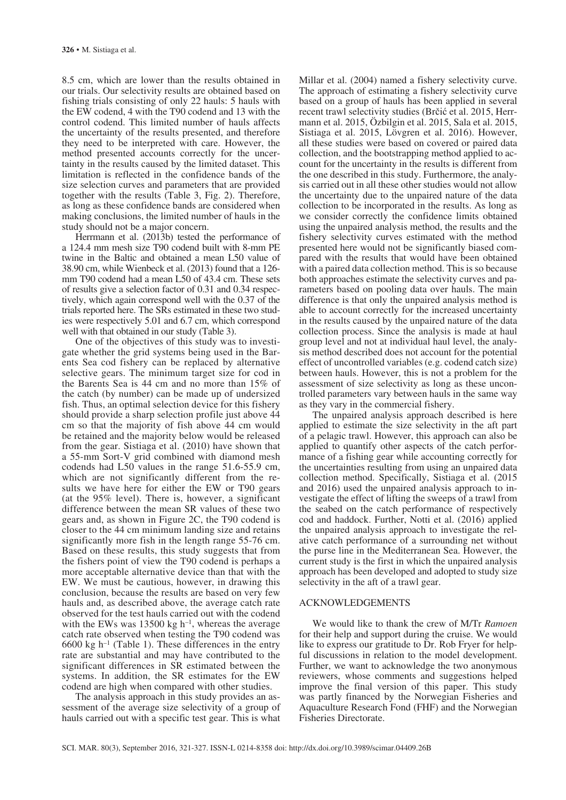8.5 cm, which are lower than the results obtained in our trials. Our selectivity results are obtained based on fishing trials consisting of only 22 hauls: 5 hauls with the EW codend, 4 with the T90 codend and 13 with the control codend. This limited number of hauls affects the uncertainty of the results presented, and therefore they need to be interpreted with care. However, the method presented accounts correctly for the uncertainty in the results caused by the limited dataset. This limitation is reflected in the confidence bands of the size selection curves and parameters that are provided together with the results (Table 3, Fig. 2). Therefore, as long as these confidence bands are considered when making conclusions, the limited number of hauls in the study should not be a major concern.

Herrmann et al. (2013b) tested the performance of a 124.4 mm mesh size T90 codend built with 8-mm PE twine in the Baltic and obtained a mean L50 value of 38.90 cm, while Wienbeck et al. (2013) found that a 126 mm T90 codend had a mean L50 of 43.4 cm. These sets of results give a selection factor of 0.31 and 0.34 respectively, which again correspond well with the 0.37 of the trials reported here. The SRs estimated in these two studies were respectively 5.01 and 6.7 cm, which correspond well with that obtained in our study (Table 3).

One of the objectives of this study was to investigate whether the grid systems being used in the Barents Sea cod fishery can be replaced by alternative selective gears. The minimum target size for cod in the Barents Sea is 44 cm and no more than 15% of the catch (by number) can be made up of undersized fish. Thus, an optimal selection device for this fishery should provide a sharp selection profile just above 44 cm so that the majority of fish above 44 cm would be retained and the majority below would be released from the gear. Sistiaga et al. (2010) have shown that a 55-mm Sort-V grid combined with diamond mesh codends had L50 values in the range 51.6-55.9 cm, which are not significantly different from the results we have here for either the EW or T90 gears (at the 95% level). There is, however, a significant difference between the mean SR values of these two gears and, as shown in Figure 2C, the T90 codend is closer to the 44 cm minimum landing size and retains significantly more fish in the length range 55-76 cm. Based on these results, this study suggests that from the fishers point of view the T90 codend is perhaps a more acceptable alternative device than that with the EW. We must be cautious, however, in drawing this conclusion, because the results are based on very few hauls and, as described above, the average catch rate observed for the test hauls carried out with the codend with the EWs was 13500 kg  $h^{-1}$ , whereas the average catch rate observed when testing the T90 codend was  $6600 \text{ kg } h^{-1}$  (Table 1). These differences in the entry rate are substantial and may have contributed to the significant differences in SR estimated between the systems. In addition, the SR estimates for the EW codend are high when compared with other studies.

The analysis approach in this study provides an assessment of the average size selectivity of a group of hauls carried out with a specific test gear. This is what Millar et al. (2004) named a fishery selectivity curve. The approach of estimating a fishery selectivity curve based on a group of hauls has been applied in several recent trawl selectivity studies (Brčić et al. 2015, Herrmann et al. 2015, Özbilgin et al. 2015, Sala et al. 2015, Sistiaga et al. 2015, Lövgren et al. 2016). However, all these studies were based on covered or paired data collection, and the bootstrapping method applied to account for the uncertainty in the results is different from the one described in this study. Furthermore, the analysis carried out in all these other studies would not allow the uncertainty due to the unpaired nature of the data collection to be incorporated in the results. As long as we consider correctly the confidence limits obtained using the unpaired analysis method, the results and the fishery selectivity curves estimated with the method presented here would not be significantly biased compared with the results that would have been obtained with a paired data collection method. This is so because both approaches estimate the selectivity curves and parameters based on pooling data over hauls. The main difference is that only the unpaired analysis method is able to account correctly for the increased uncertainty in the results caused by the unpaired nature of the data collection process. Since the analysis is made at haul group level and not at individual haul level, the analysis method described does not account for the potential effect of uncontrolled variables (e.g. codend catch size) between hauls. However, this is not a problem for the assessment of size selectivity as long as these uncontrolled parameters vary between hauls in the same way as they vary in the commercial fishery.

The unpaired analysis approach described is here applied to estimate the size selectivity in the aft part of a pelagic trawl. However, this approach can also be applied to quantify other aspects of the catch performance of a fishing gear while accounting correctly for the uncertainties resulting from using an unpaired data collection method. Specifically, Sistiaga et al. (2015 and 2016) used the unpaired analysis approach to investigate the effect of lifting the sweeps of a trawl from the seabed on the catch performance of respectively cod and haddock. Further, Notti et al. (2016) applied the unpaired analysis approach to investigate the relative catch performance of a surrounding net without the purse line in the Mediterranean Sea. However, the current study is the first in which the unpaired analysis approach has been developed and adopted to study size selectivity in the aft of a trawl gear.

## ACKNOWLEDGEMENTS

We would like to thank the crew of M/Tr *Ramoen* for their help and support during the cruise. We would like to express our gratitude to Dr. Rob Fryer for helpful discussions in relation to the model development. Further, we want to acknowledge the two anonymous reviewers, whose comments and suggestions helped improve the final version of this paper. This study was partly financed by the Norwegian Fisheries and Aquaculture Research Fond (FHF) and the Norwegian Fisheries Directorate.